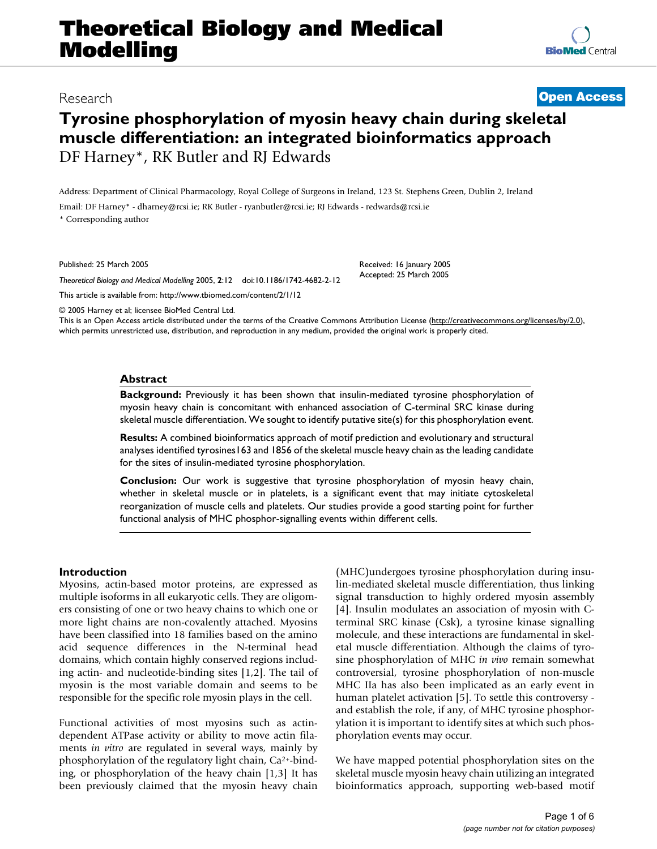# **Theoretical Biology and Medical Modelling**

## Research **[Open Access](http://www.biomedcentral.com/info/about/charter/)**

## **Tyrosine phosphorylation of myosin heavy chain during skeletal muscle differentiation: an integrated bioinformatics approach** DF Harney\*, RK Butler and RJ Edwards

Address: Department of Clinical Pharmacology, Royal College of Surgeons in Ireland, 123 St. Stephens Green, Dublin 2, Ireland

Email: DF Harney\* - dharney@rcsi.ie; RK Butler - ryanbutler@rcsi.ie; RJ Edwards - redwards@rcsi.ie

\* Corresponding author

Published: 25 March 2005

*Theoretical Biology and Medical Modelling* 2005, **2**:12 doi:10.1186/1742-4682-2-12

[This article is available from: http://www.tbiomed.com/content/2/1/12](http://www.tbiomed.com/content/2/1/12)

© 2005 Harney et al; licensee BioMed Central Ltd.

This is an Open Access article distributed under the terms of the Creative Commons Attribution License [\(http://creativecommons.org/licenses/by/2.0\)](http://creativecommons.org/licenses/by/2.0), which permits unrestricted use, distribution, and reproduction in any medium, provided the original work is properly cited.

Received: 16 January 2005 Accepted: 25 March 2005

#### **Abstract**

**Background:** Previously it has been shown that insulin-mediated tyrosine phosphorylation of myosin heavy chain is concomitant with enhanced association of C-terminal SRC kinase during skeletal muscle differentiation. We sought to identify putative site(s) for this phosphorylation event.

**Results:** A combined bioinformatics approach of motif prediction and evolutionary and structural analyses identified tyrosines163 and 1856 of the skeletal muscle heavy chain as the leading candidate for the sites of insulin-mediated tyrosine phosphorylation.

**Conclusion:** Our work is suggestive that tyrosine phosphorylation of myosin heavy chain, whether in skeletal muscle or in platelets, is a significant event that may initiate cytoskeletal reorganization of muscle cells and platelets. Our studies provide a good starting point for further functional analysis of MHC phosphor-signalling events within different cells.

#### **Introduction**

Myosins, actin-based motor proteins, are expressed as multiple isoforms in all eukaryotic cells. They are oligomers consisting of one or two heavy chains to which one or more light chains are non-covalently attached. Myosins have been classified into 18 families based on the amino acid sequence differences in the N-terminal head domains, which contain highly conserved regions including actin- and nucleotide-binding sites [1,2]. The tail of myosin is the most variable domain and seems to be responsible for the specific role myosin plays in the cell.

Functional activities of most myosins such as actindependent ATPase activity or ability to move actin filaments *in vitro* are regulated in several ways, mainly by phosphorylation of the regulatory light chain, Ca2+-binding, or phosphorylation of the heavy chain [1,3] It has been previously claimed that the myosin heavy chain (MHC)undergoes tyrosine phosphorylation during insulin-mediated skeletal muscle differentiation, thus linking signal transduction to highly ordered myosin assembly [4]. Insulin modulates an association of myosin with Cterminal SRC kinase (Csk), a tyrosine kinase signalling molecule, and these interactions are fundamental in skeletal muscle differentiation. Although the claims of tyrosine phosphorylation of MHC *in vivo* remain somewhat controversial, tyrosine phosphorylation of non-muscle MHC IIa has also been implicated as an early event in human platelet activation [5]. To settle this controversy and establish the role, if any, of MHC tyrosine phosphorylation it is important to identify sites at which such phosphorylation events may occur.

We have mapped potential phosphorylation sites on the skeletal muscle myosin heavy chain utilizing an integrated bioinformatics approach, supporting web-based motif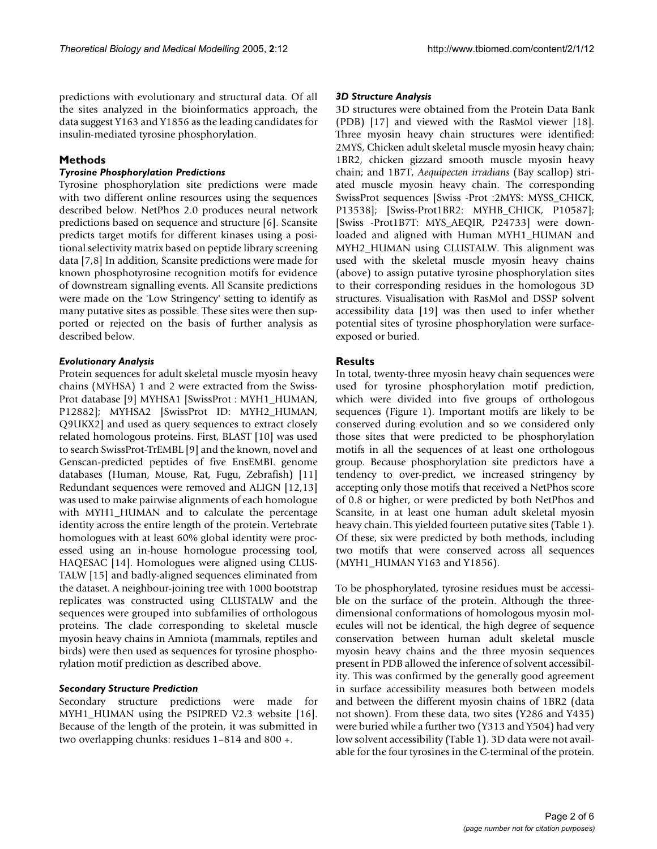predictions with evolutionary and structural data. Of all the sites analyzed in the bioinformatics approach, the data suggest Y163 and Y1856 as the leading candidates for insulin-mediated tyrosine phosphorylation.

## **Methods**

#### *Tyrosine Phosphorylation Predictions*

Tyrosine phosphorylation site predictions were made with two different online resources using the sequences described below. NetPhos 2.0 produces neural network predictions based on sequence and structure [6]. Scansite predicts target motifs for different kinases using a positional selectivity matrix based on peptide library screening data [7,8] In addition, Scansite predictions were made for known phosphotyrosine recognition motifs for evidence of downstream signalling events. All Scansite predictions were made on the 'Low Stringency' setting to identify as many putative sites as possible. These sites were then supported or rejected on the basis of further analysis as described below.

### *Evolutionary Analysis*

Protein sequences for adult skeletal muscle myosin heavy chains (MYHSA) 1 and 2 were extracted from the Swiss-Prot database [9] MYHSA1 [SwissProt : MYH1\_HUMAN, P12882]; MYHSA2 [SwissProt ID: MYH2\_HUMAN, Q9UKX2] and used as query sequences to extract closely related homologous proteins. First, BLAST [10] was used to search SwissProt-TrEMBL [9] and the known, novel and Genscan-predicted peptides of five EnsEMBL genome databases (Human, Mouse, Rat, Fugu, Zebrafish) [11] Redundant sequences were removed and ALIGN [12,13] was used to make pairwise alignments of each homologue with MYH1\_HUMAN and to calculate the percentage identity across the entire length of the protein. Vertebrate homologues with at least 60% global identity were processed using an in-house homologue processing tool, HAQESAC [14]. Homologues were aligned using CLUS-TALW [15] and badly-aligned sequences eliminated from the dataset. A neighbour-joining tree with 1000 bootstrap replicates was constructed using CLUSTALW and the sequences were grouped into subfamilies of orthologous proteins. The clade corresponding to skeletal muscle myosin heavy chains in Amniota (mammals, reptiles and birds) were then used as sequences for tyrosine phosphorylation motif prediction as described above.

## *Secondary Structure Prediction*

Secondary structure predictions were made for MYH1\_HUMAN using the PSIPRED V2.3 website [16]. Because of the length of the protein, it was submitted in two overlapping chunks: residues 1–814 and 800 +.

#### *3D Structure Analysis*

3D structures were obtained from the Protein Data Bank (PDB) [17] and viewed with the RasMol viewer [18]. Three myosin heavy chain structures were identified: 2MYS, Chicken adult skeletal muscle myosin heavy chain; 1BR2, chicken gizzard smooth muscle myosin heavy chain; and 1B7T, *Aequipecten irradians* (Bay scallop) striated muscle myosin heavy chain. The corresponding SwissProt sequences [Swiss -Prot :2MYS: MYSS\_CHICK, P13538]; [Swiss-Prot1BR2: MYHB\_CHICK, P10587]; [Swiss -Prot1B7T: MYS\_AEQIR, P24733] were downloaded and aligned with Human MYH1\_HUMAN and MYH2\_HUMAN using CLUSTALW. This alignment was used with the skeletal muscle myosin heavy chains (above) to assign putative tyrosine phosphorylation sites to their corresponding residues in the homologous 3D structures. Visualisation with RasMol and DSSP solvent accessibility data [19] was then used to infer whether potential sites of tyrosine phosphorylation were surfaceexposed or buried.

## **Results**

In total, twenty-three myosin heavy chain sequences were used for tyrosine phosphorylation motif prediction, which were divided into five groups of orthologous sequences (Figure [1\)](#page-2-0). Important motifs are likely to be conserved during evolution and so we considered only those sites that were predicted to be phosphorylation motifs in all the sequences of at least one orthologous group. Because phosphorylation site predictors have a tendency to over-predict, we increased stringency by accepting only those motifs that received a NetPhos score of 0.8 or higher, or were predicted by both NetPhos and Scansite, in at least one human adult skeletal myosin heavy chain. This yielded fourteen putative sites (Table [1\)](#page-2-1). Of these, six were predicted by both methods, including two motifs that were conserved across all sequences (MYH1\_HUMAN Y163 and Y1856).

To be phosphorylated, tyrosine residues must be accessible on the surface of the protein. Although the threedimensional conformations of homologous myosin molecules will not be identical, the high degree of sequence conservation between human adult skeletal muscle myosin heavy chains and the three myosin sequences present in PDB allowed the inference of solvent accessibility. This was confirmed by the generally good agreement in surface accessibility measures both between models and between the different myosin chains of 1BR2 (data not shown). From these data, two sites (Y286 and Y435) were buried while a further two (Y313 and Y504) had very low solvent accessibility (Table [1](#page-2-1)). 3D data were not available for the four tyrosines in the C-terminal of the protein.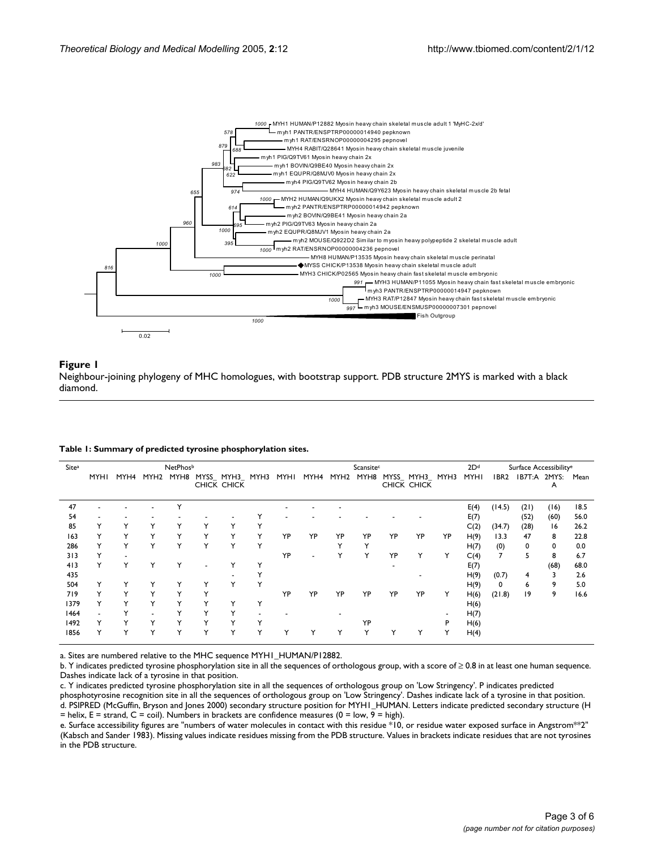<span id="page-2-0"></span>

#### Figure 1

Neighbour-joining phylogeny of MHC homologues, with bootstrap support. PDB structure 2MYS is marked with a black diamond.

| Site <sup>a</sup> | NetPhosb |              |      |              |              |                               | Scansitec    |      |            |           |              | 2D <sup>d</sup> | Surface Accessibility <sup>e</sup> |    |             |                |      |                   |      |
|-------------------|----------|--------------|------|--------------|--------------|-------------------------------|--------------|------|------------|-----------|--------------|-----------------|------------------------------------|----|-------------|----------------|------|-------------------|------|
|                   | MYHI     | MYH4         | MYH2 | MYH8         |              | MYSS_MYH3_MYH3<br>CHICK CHICK |              | MYHI |            | MYH4 MYH2 | MYH8         |                 | MYSS_MYH3_MYH3<br>CHICK CHICK      |    | <b>MYHI</b> | IBR2           |      | IB7T:A 2MYS:<br>A | Mean |
| 47                |          |              |      | $\check{ }$  |              |                               |              |      |            |           |              |                 |                                    |    | E(4)        | (14.5)         | (21) | (16)              | 18.5 |
| 54                |          |              |      |              |              |                               |              |      |            |           |              |                 |                                    |    | E(7)        |                | (52) | (60)              | 56.0 |
| 85                |          |              |      |              | Y            |                               |              |      |            |           |              |                 |                                    |    | C(2)        | (34.7)         | (28) | 16                | 26.2 |
| 163               | Y        |              |      |              | Y            | Y                             | Y            | YP   | YP         | YP        | YP           | YP              | YP                                 | YP | H(9)        | 13.3           | 47   | 8                 | 22.8 |
| 286               |          |              |      |              | Y            | ٧                             | $\checkmark$ |      |            |           | $\checkmark$ |                 |                                    |    | H(7)        | (0)            | 0    | 0                 | 0.0  |
| 313               | Y        |              |      |              |              |                               |              | YP   |            |           |              | YP              | Y                                  | Y  | C(4)        | $\overline{7}$ | 5    | 8                 | 6.7  |
| 413               | Y        |              |      |              |              |                               |              |      |            |           |              |                 |                                    |    | E(7)        |                |      | (68)              | 68.0 |
| 435               |          |              |      |              |              |                               |              |      |            |           |              |                 |                                    |    | H(9)        | (0.7)          | 4    |                   | 2.6  |
| 504               |          |              |      |              |              |                               |              |      |            |           |              |                 |                                    |    | H(9)        | 0              | 6    | 9                 | 5.0  |
| 719               |          |              |      |              | Υ            |                               |              | YP   | YP         | YP        | YP           | YP              | YP                                 | Y  | H(6)        | (21.8)         | 19   | 9                 | 16.6 |
| 1379              |          | Y            | v    | $\check{ }$  | Y            |                               |              |      |            |           |              |                 |                                    |    | H(6)        |                |      |                   |      |
| 1464              |          |              |      |              | $\checkmark$ | $\checkmark$                  |              |      |            |           |              |                 |                                    |    | H(7)        |                |      |                   |      |
| 1492              |          |              |      |              | ٧            |                               |              |      |            |           | YP           |                 |                                    | P  | H(6)        |                |      |                   |      |
| 1856              | ٧        | $\checkmark$ | Y    | $\checkmark$ | Y            | Y                             | v            |      | $\check{}$ |           | Y            |                 | Υ                                  | Y  | H(4)        |                |      |                   |      |

#### <span id="page-2-1"></span>**Table 1: Summary of predicted tyrosine phosphorylation sites.**

a. Sites are numbered relative to the MHC sequence MYH1\_HUMAN/P12882.

b. Y indicates predicted tyrosine phosphorylation site in all the sequences of orthologous group, with a score of ≥ 0.8 in at least one human sequence. Dashes indicate lack of a tyrosine in that position.

c. Y indicates predicted tyrosine phosphorylation site in all the sequences of orthologous group on 'Low Stringency'. P indicates predicted

phosphotyrosine recognition site in all the sequences of orthologous group on 'Low Stringency'. Dashes indicate lack of a tyrosine in that position. d. PSIPRED (McGuffin, Bryson and Jones 2000) secondary structure position for MYH1\_HUMAN. Letters indicate predicted secondary structure (H  $=$  helix, E = strand, C = coil). Numbers in brackets are confidence measures (0 = low, 9 = high).

e. Surface accessibility figures are "numbers of water molecules in contact with this residue \*10, or residue water exposed surface in Angstrom\*\*2" (Kabsch and Sander 1983). Missing values indicate residues missing from the PDB structure. Values in brackets indicate residues that are not tyrosines in the PDB structure.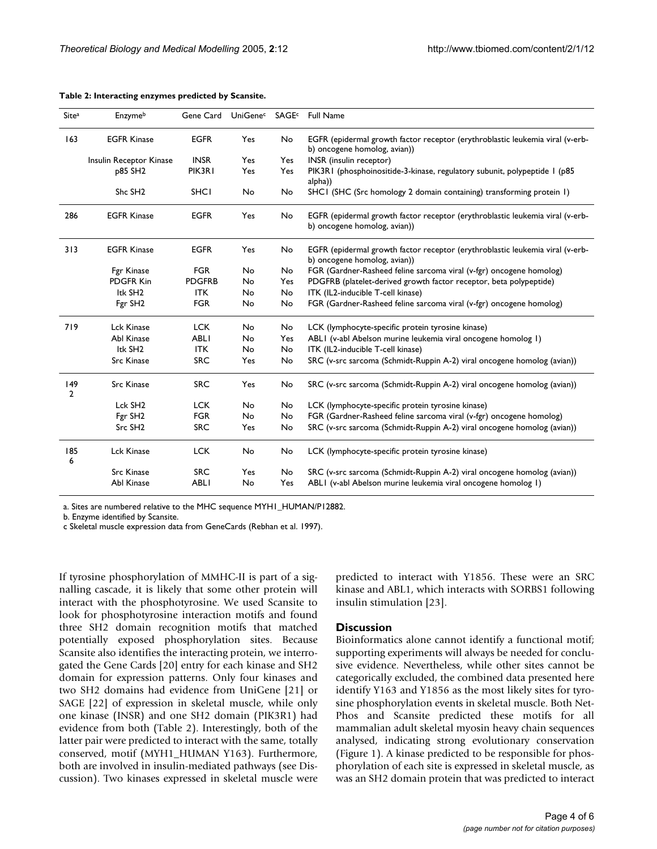| <b>EGFR</b><br>163<br><b>EGFR Kinase</b><br>Yes<br>No<br>EGFR (epidermal growth factor receptor (erythroblastic leukemia viral (v-erb-<br>b) oncogene homolog, avian))<br><b>INSR</b><br>Yes<br>INSR (insulin receptor)<br>Insulin Receptor Kinase<br>Yes<br>p85 SH2<br>PIK3R1<br>PIK3R1 (phosphoinositide-3-kinase, regulatory subunit, polypeptide 1 (p85)<br>Yes<br>Yes<br>alpha))<br>Shc SH <sub>2</sub><br><b>SHCI</b><br>No<br>SHCI (SHC (Src homology 2 domain containing) transforming protein 1)<br>No<br>286<br><b>EGFR Kinase</b><br><b>EGFR</b><br>Yes<br>No<br>EGFR (epidermal growth factor receptor (erythroblastic leukemia viral (v-erb-<br>b) oncogene homolog, avian))<br>313<br><b>EGFR Kinase</b><br><b>EGFR</b><br>Yes<br>No<br>EGFR (epidermal growth factor receptor (erythroblastic leukemia viral (v-erb-<br>b) oncogene homolog, avian))<br><b>FGR</b><br>Fgr Kinase<br>FGR (Gardner-Rasheed feline sarcoma viral (v-fgr) oncogene homolog)<br>No<br>No<br>PDGFR Kin<br><b>PDGFRB</b><br>PDGFRB (platelet-derived growth factor receptor, beta polypeptide)<br>No<br>Yes<br>Itk SH <sub>2</sub><br><b>ITK</b><br>No<br>ITK (IL2-inducible T-cell kinase)<br>No<br>Fgr SH <sub>2</sub><br><b>FGR</b><br>FGR (Gardner-Rasheed feline sarcoma viral (v-fgr) oncogene homolog)<br>No<br>No<br>719<br>Lck Kinase<br><b>LCK</b><br>No<br>No<br>LCK (lymphocyte-specific protein tyrosine kinase)<br>Abl Kinase<br><b>ABLI</b><br>ABLI (v-abl Abelson murine leukemia viral oncogene homolog I)<br>No<br>Yes<br>Itk SH <sub>2</sub><br><b>ITK</b><br>No<br>ITK (IL2-inducible T-cell kinase)<br>No<br><b>SRC</b><br>SRC (v-src sarcoma (Schmidt-Ruppin A-2) viral oncogene homolog (avian))<br><b>Src Kinase</b><br>Yes<br>No<br>149<br><b>Src Kinase</b><br><b>SRC</b><br>Yes<br>No<br>SRC (v-src sarcoma (Schmidt-Ruppin A-2) viral oncogene homolog (avian))<br>2<br>Lck SH <sub>2</sub><br><b>LCK</b><br>No<br>LCK (lymphocyte-specific protein tyrosine kinase)<br>No<br>FGR (Gardner-Rasheed feline sarcoma viral (v-fgr) oncogene homolog)<br>Fgr SH2<br><b>FGR</b><br>No<br>No<br>Src SH <sub>2</sub><br><b>SRC</b><br>SRC (v-src sarcoma (Schmidt-Ruppin A-2) viral oncogene homolog (avian))<br>Yes<br>No<br>185<br>Lck Kinase<br><b>LCK</b><br>No<br>No<br>LCK (lymphocyte-specific protein tyrosine kinase)<br>6<br><b>Src Kinase</b><br><b>SRC</b><br>Yes<br>No<br>SRC (v-src sarcoma (Schmidt-Ruppin A-2) viral oncogene homolog (avian))<br>Abl Kinase<br><b>ABLI</b><br>ABLI (v-abl Abelson murine leukemia viral oncogene homolog I)<br>No<br>Yes | Site <sup>a</sup> | Enzymeb | Gene Card |  |  | UniGene <sup>c</sup> SAGE <sup>c</sup> Full Name |  |  |  |  |
|----------------------------------------------------------------------------------------------------------------------------------------------------------------------------------------------------------------------------------------------------------------------------------------------------------------------------------------------------------------------------------------------------------------------------------------------------------------------------------------------------------------------------------------------------------------------------------------------------------------------------------------------------------------------------------------------------------------------------------------------------------------------------------------------------------------------------------------------------------------------------------------------------------------------------------------------------------------------------------------------------------------------------------------------------------------------------------------------------------------------------------------------------------------------------------------------------------------------------------------------------------------------------------------------------------------------------------------------------------------------------------------------------------------------------------------------------------------------------------------------------------------------------------------------------------------------------------------------------------------------------------------------------------------------------------------------------------------------------------------------------------------------------------------------------------------------------------------------------------------------------------------------------------------------------------------------------------------------------------------------------------------------------------------------------------------------------------------------------------------------------------------------------------------------------------------------------------------------------------------------------------------------------------------------------------------------------------------------------------------------------------------------------------------------------------------------------------------------------------------------------------------------------------------------------------------------------------------|-------------------|---------|-----------|--|--|--------------------------------------------------|--|--|--|--|
|                                                                                                                                                                                                                                                                                                                                                                                                                                                                                                                                                                                                                                                                                                                                                                                                                                                                                                                                                                                                                                                                                                                                                                                                                                                                                                                                                                                                                                                                                                                                                                                                                                                                                                                                                                                                                                                                                                                                                                                                                                                                                                                                                                                                                                                                                                                                                                                                                                                                                                                                                                                        |                   |         |           |  |  |                                                  |  |  |  |  |
|                                                                                                                                                                                                                                                                                                                                                                                                                                                                                                                                                                                                                                                                                                                                                                                                                                                                                                                                                                                                                                                                                                                                                                                                                                                                                                                                                                                                                                                                                                                                                                                                                                                                                                                                                                                                                                                                                                                                                                                                                                                                                                                                                                                                                                                                                                                                                                                                                                                                                                                                                                                        |                   |         |           |  |  |                                                  |  |  |  |  |
|                                                                                                                                                                                                                                                                                                                                                                                                                                                                                                                                                                                                                                                                                                                                                                                                                                                                                                                                                                                                                                                                                                                                                                                                                                                                                                                                                                                                                                                                                                                                                                                                                                                                                                                                                                                                                                                                                                                                                                                                                                                                                                                                                                                                                                                                                                                                                                                                                                                                                                                                                                                        |                   |         |           |  |  |                                                  |  |  |  |  |
|                                                                                                                                                                                                                                                                                                                                                                                                                                                                                                                                                                                                                                                                                                                                                                                                                                                                                                                                                                                                                                                                                                                                                                                                                                                                                                                                                                                                                                                                                                                                                                                                                                                                                                                                                                                                                                                                                                                                                                                                                                                                                                                                                                                                                                                                                                                                                                                                                                                                                                                                                                                        |                   |         |           |  |  |                                                  |  |  |  |  |
|                                                                                                                                                                                                                                                                                                                                                                                                                                                                                                                                                                                                                                                                                                                                                                                                                                                                                                                                                                                                                                                                                                                                                                                                                                                                                                                                                                                                                                                                                                                                                                                                                                                                                                                                                                                                                                                                                                                                                                                                                                                                                                                                                                                                                                                                                                                                                                                                                                                                                                                                                                                        |                   |         |           |  |  |                                                  |  |  |  |  |
|                                                                                                                                                                                                                                                                                                                                                                                                                                                                                                                                                                                                                                                                                                                                                                                                                                                                                                                                                                                                                                                                                                                                                                                                                                                                                                                                                                                                                                                                                                                                                                                                                                                                                                                                                                                                                                                                                                                                                                                                                                                                                                                                                                                                                                                                                                                                                                                                                                                                                                                                                                                        |                   |         |           |  |  |                                                  |  |  |  |  |
|                                                                                                                                                                                                                                                                                                                                                                                                                                                                                                                                                                                                                                                                                                                                                                                                                                                                                                                                                                                                                                                                                                                                                                                                                                                                                                                                                                                                                                                                                                                                                                                                                                                                                                                                                                                                                                                                                                                                                                                                                                                                                                                                                                                                                                                                                                                                                                                                                                                                                                                                                                                        |                   |         |           |  |  |                                                  |  |  |  |  |
|                                                                                                                                                                                                                                                                                                                                                                                                                                                                                                                                                                                                                                                                                                                                                                                                                                                                                                                                                                                                                                                                                                                                                                                                                                                                                                                                                                                                                                                                                                                                                                                                                                                                                                                                                                                                                                                                                                                                                                                                                                                                                                                                                                                                                                                                                                                                                                                                                                                                                                                                                                                        |                   |         |           |  |  |                                                  |  |  |  |  |
|                                                                                                                                                                                                                                                                                                                                                                                                                                                                                                                                                                                                                                                                                                                                                                                                                                                                                                                                                                                                                                                                                                                                                                                                                                                                                                                                                                                                                                                                                                                                                                                                                                                                                                                                                                                                                                                                                                                                                                                                                                                                                                                                                                                                                                                                                                                                                                                                                                                                                                                                                                                        |                   |         |           |  |  |                                                  |  |  |  |  |
|                                                                                                                                                                                                                                                                                                                                                                                                                                                                                                                                                                                                                                                                                                                                                                                                                                                                                                                                                                                                                                                                                                                                                                                                                                                                                                                                                                                                                                                                                                                                                                                                                                                                                                                                                                                                                                                                                                                                                                                                                                                                                                                                                                                                                                                                                                                                                                                                                                                                                                                                                                                        |                   |         |           |  |  |                                                  |  |  |  |  |
|                                                                                                                                                                                                                                                                                                                                                                                                                                                                                                                                                                                                                                                                                                                                                                                                                                                                                                                                                                                                                                                                                                                                                                                                                                                                                                                                                                                                                                                                                                                                                                                                                                                                                                                                                                                                                                                                                                                                                                                                                                                                                                                                                                                                                                                                                                                                                                                                                                                                                                                                                                                        |                   |         |           |  |  |                                                  |  |  |  |  |
|                                                                                                                                                                                                                                                                                                                                                                                                                                                                                                                                                                                                                                                                                                                                                                                                                                                                                                                                                                                                                                                                                                                                                                                                                                                                                                                                                                                                                                                                                                                                                                                                                                                                                                                                                                                                                                                                                                                                                                                                                                                                                                                                                                                                                                                                                                                                                                                                                                                                                                                                                                                        |                   |         |           |  |  |                                                  |  |  |  |  |
|                                                                                                                                                                                                                                                                                                                                                                                                                                                                                                                                                                                                                                                                                                                                                                                                                                                                                                                                                                                                                                                                                                                                                                                                                                                                                                                                                                                                                                                                                                                                                                                                                                                                                                                                                                                                                                                                                                                                                                                                                                                                                                                                                                                                                                                                                                                                                                                                                                                                                                                                                                                        |                   |         |           |  |  |                                                  |  |  |  |  |
|                                                                                                                                                                                                                                                                                                                                                                                                                                                                                                                                                                                                                                                                                                                                                                                                                                                                                                                                                                                                                                                                                                                                                                                                                                                                                                                                                                                                                                                                                                                                                                                                                                                                                                                                                                                                                                                                                                                                                                                                                                                                                                                                                                                                                                                                                                                                                                                                                                                                                                                                                                                        |                   |         |           |  |  |                                                  |  |  |  |  |
|                                                                                                                                                                                                                                                                                                                                                                                                                                                                                                                                                                                                                                                                                                                                                                                                                                                                                                                                                                                                                                                                                                                                                                                                                                                                                                                                                                                                                                                                                                                                                                                                                                                                                                                                                                                                                                                                                                                                                                                                                                                                                                                                                                                                                                                                                                                                                                                                                                                                                                                                                                                        |                   |         |           |  |  |                                                  |  |  |  |  |
|                                                                                                                                                                                                                                                                                                                                                                                                                                                                                                                                                                                                                                                                                                                                                                                                                                                                                                                                                                                                                                                                                                                                                                                                                                                                                                                                                                                                                                                                                                                                                                                                                                                                                                                                                                                                                                                                                                                                                                                                                                                                                                                                                                                                                                                                                                                                                                                                                                                                                                                                                                                        |                   |         |           |  |  |                                                  |  |  |  |  |
|                                                                                                                                                                                                                                                                                                                                                                                                                                                                                                                                                                                                                                                                                                                                                                                                                                                                                                                                                                                                                                                                                                                                                                                                                                                                                                                                                                                                                                                                                                                                                                                                                                                                                                                                                                                                                                                                                                                                                                                                                                                                                                                                                                                                                                                                                                                                                                                                                                                                                                                                                                                        |                   |         |           |  |  |                                                  |  |  |  |  |
|                                                                                                                                                                                                                                                                                                                                                                                                                                                                                                                                                                                                                                                                                                                                                                                                                                                                                                                                                                                                                                                                                                                                                                                                                                                                                                                                                                                                                                                                                                                                                                                                                                                                                                                                                                                                                                                                                                                                                                                                                                                                                                                                                                                                                                                                                                                                                                                                                                                                                                                                                                                        |                   |         |           |  |  |                                                  |  |  |  |  |
|                                                                                                                                                                                                                                                                                                                                                                                                                                                                                                                                                                                                                                                                                                                                                                                                                                                                                                                                                                                                                                                                                                                                                                                                                                                                                                                                                                                                                                                                                                                                                                                                                                                                                                                                                                                                                                                                                                                                                                                                                                                                                                                                                                                                                                                                                                                                                                                                                                                                                                                                                                                        |                   |         |           |  |  |                                                  |  |  |  |  |
|                                                                                                                                                                                                                                                                                                                                                                                                                                                                                                                                                                                                                                                                                                                                                                                                                                                                                                                                                                                                                                                                                                                                                                                                                                                                                                                                                                                                                                                                                                                                                                                                                                                                                                                                                                                                                                                                                                                                                                                                                                                                                                                                                                                                                                                                                                                                                                                                                                                                                                                                                                                        |                   |         |           |  |  |                                                  |  |  |  |  |
|                                                                                                                                                                                                                                                                                                                                                                                                                                                                                                                                                                                                                                                                                                                                                                                                                                                                                                                                                                                                                                                                                                                                                                                                                                                                                                                                                                                                                                                                                                                                                                                                                                                                                                                                                                                                                                                                                                                                                                                                                                                                                                                                                                                                                                                                                                                                                                                                                                                                                                                                                                                        |                   |         |           |  |  |                                                  |  |  |  |  |

<span id="page-3-0"></span>**Table 2: Interacting enzymes predicted by Scansite.**

a. Sites are numbered relative to the MHC sequence MYH1\_HUMAN/P12882.

b. Enzyme identified by Scansite.

c Skeletal muscle expression data from GeneCards (Rebhan et al. 1997).

If tyrosine phosphorylation of MMHC-II is part of a signalling cascade, it is likely that some other protein will interact with the phosphotyrosine. We used Scansite to look for phosphotyrosine interaction motifs and found three SH2 domain recognition motifs that matched potentially exposed phosphorylation sites. Because Scansite also identifies the interacting protein, we interrogated the Gene Cards [20] entry for each kinase and SH2 domain for expression patterns. Only four kinases and two SH2 domains had evidence from UniGene [21] or SAGE [22] of expression in skeletal muscle, while only one kinase (INSR) and one SH2 domain (PIK3R1) had evidence from both (Table [2\)](#page-3-0). Interestingly, both of the latter pair were predicted to interact with the same, totally conserved, motif (MYH1\_HUMAN Y163). Furthermore, both are involved in insulin-mediated pathways (see Discussion). Two kinases expressed in skeletal muscle were predicted to interact with Y1856. These were an SRC kinase and ABL1, which interacts with SORBS1 following insulin stimulation [23].

#### **Discussion**

Bioinformatics alone cannot identify a functional motif; supporting experiments will always be needed for conclusive evidence. Nevertheless, while other sites cannot be categorically excluded, the combined data presented here identify Y163 and Y1856 as the most likely sites for tyrosine phosphorylation events in skeletal muscle. Both Net-Phos and Scansite predicted these motifs for all mammalian adult skeletal myosin heavy chain sequences analysed, indicating strong evolutionary conservation (Figure [1](#page-2-0)). A kinase predicted to be responsible for phosphorylation of each site is expressed in skeletal muscle, as was an SH2 domain protein that was predicted to interact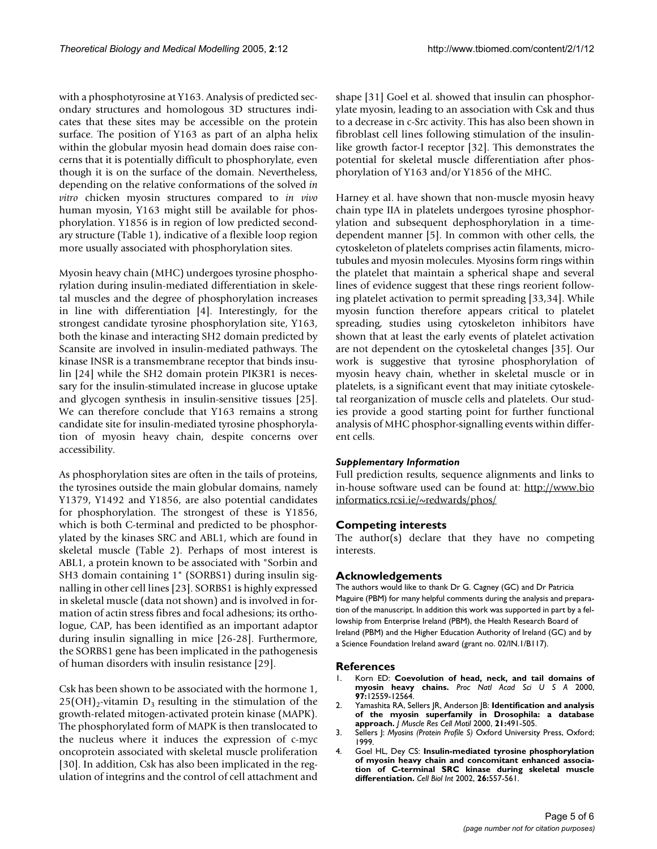with a phosphotyrosine at Y163. Analysis of predicted secondary structures and homologous 3D structures indicates that these sites may be accessible on the protein surface. The position of Y163 as part of an alpha helix within the globular myosin head domain does raise concerns that it is potentially difficult to phosphorylate, even though it is on the surface of the domain. Nevertheless, depending on the relative conformations of the solved *in vitro* chicken myosin structures compared to *in vivo* human myosin, Y163 might still be available for phosphorylation. Y1856 is in region of low predicted secondary structure (Table [1\)](#page-2-1), indicative of a flexible loop region more usually associated with phosphorylation sites.

Myosin heavy chain (MHC) undergoes tyrosine phosphorylation during insulin-mediated differentiation in skeletal muscles and the degree of phosphorylation increases in line with differentiation [4]. Interestingly, for the strongest candidate tyrosine phosphorylation site, Y163, both the kinase and interacting SH2 domain predicted by Scansite are involved in insulin-mediated pathways. The kinase INSR is a transmembrane receptor that binds insulin [24] while the SH2 domain protein PIK3R1 is necessary for the insulin-stimulated increase in glucose uptake and glycogen synthesis in insulin-sensitive tissues [25]. We can therefore conclude that Y163 remains a strong candidate site for insulin-mediated tyrosine phosphorylation of myosin heavy chain, despite concerns over accessibility.

As phosphorylation sites are often in the tails of proteins, the tyrosines outside the main globular domains, namely Y1379, Y1492 and Y1856, are also potential candidates for phosphorylation. The strongest of these is Y1856, which is both C-terminal and predicted to be phosphorylated by the kinases SRC and ABL1, which are found in skeletal muscle (Table [2](#page-3-0)). Perhaps of most interest is ABL1, a protein known to be associated with "Sorbin and SH3 domain containing 1" (SORBS1) during insulin signalling in other cell lines [23]. SORBS1 is highly expressed in skeletal muscle (data not shown) and is involved in formation of actin stress fibres and focal adhesions; its orthologue, CAP, has been identified as an important adaptor during insulin signalling in mice [26-28]. Furthermore, the SORBS1 gene has been implicated in the pathogenesis of human disorders with insulin resistance [29].

Csk has been shown to be associated with the hormone 1,  $25(OH)<sub>2</sub>$ -vitamin D<sub>3</sub> resulting in the stimulation of the growth-related mitogen-activated protein kinase (MAPK). The phosphorylated form of MAPK is then translocated to the nucleus where it induces the expression of c-myc oncoprotein associated with skeletal muscle proliferation [30]. In addition, Csk has also been implicated in the regulation of integrins and the control of cell attachment and

shape [31] Goel et al. showed that insulin can phosphorylate myosin, leading to an association with Csk and thus to a decrease in c-Src activity. This has also been shown in fibroblast cell lines following stimulation of the insulinlike growth factor-I receptor [32]. This demonstrates the potential for skeletal muscle differentiation after phosphorylation of Y163 and/or Y1856 of the MHC.

Harney et al. have shown that non-muscle myosin heavy chain type IIA in platelets undergoes tyrosine phosphorylation and subsequent dephosphorylation in a timedependent manner [5]. In common with other cells, the cytoskeleton of platelets comprises actin filaments, microtubules and myosin molecules. Myosins form rings within the platelet that maintain a spherical shape and several lines of evidence suggest that these rings reorient following platelet activation to permit spreading [33,34]. While myosin function therefore appears critical to platelet spreading, studies using cytoskeleton inhibitors have shown that at least the early events of platelet activation are not dependent on the cytoskeletal changes [35]. Our work is suggestive that tyrosine phosphorylation of myosin heavy chain, whether in skeletal muscle or in platelets, is a significant event that may initiate cytoskeletal reorganization of muscle cells and platelets. Our studies provide a good starting point for further functional analysis of MHC phosphor-signalling events within different cells.

## *Supplementary Information*

Full prediction results, sequence alignments and links to in-house software used can be found at: [http://www.bio](http://www.bioinformatics.rcsi.ie/~redwards/phos/) [informatics.rcsi.ie/~redwards/phos/](http://www.bioinformatics.rcsi.ie/~redwards/phos/)

## **Competing interests**

The author(s) declare that they have no competing interests.

#### **Acknowledgements**

The authors would like to thank Dr G. Cagney (GC) and Dr Patricia Maguire (PBM) for many helpful comments during the analysis and preparation of the manuscript. In addition this work was supported in part by a fellowship from Enterprise Ireland (PBM), the Health Research Board of Ireland (PBM) and the Higher Education Authority of Ireland (GC) and by a Science Foundation Ireland award (grant no. 02/IN.1/B117).

#### **References**

- 1. Korn ED: **[Coevolution of head, neck, and tail domains of](http://www.ncbi.nlm.nih.gov/entrez/query.fcgi?cmd=Retrieve&db=PubMed&dopt=Abstract&list_uids=11058170) [myosin heavy chains.](http://www.ncbi.nlm.nih.gov/entrez/query.fcgi?cmd=Retrieve&db=PubMed&dopt=Abstract&list_uids=11058170)** *Proc Natl Acad Sci U S A* 2000, **97:**12559-12564.
- 2. Yamashita RA, Sellers JR, Anderson JB: **[Identification and analysis](http://www.ncbi.nlm.nih.gov/entrez/query.fcgi?cmd=Retrieve&db=PubMed&dopt=Abstract&list_uids=11206129) [of the myosin superfamily in Drosophila: a database](http://www.ncbi.nlm.nih.gov/entrez/query.fcgi?cmd=Retrieve&db=PubMed&dopt=Abstract&list_uids=11206129) [approach.](http://www.ncbi.nlm.nih.gov/entrez/query.fcgi?cmd=Retrieve&db=PubMed&dopt=Abstract&list_uids=11206129)** *J Muscle Res Cell Motil* 2000, **21:**491-505.
- 3. Sellers J: *Myosins (Protein Profile S)* Oxford University Press, Oxford; 1999.
- 4. Goel HL, Dey CS: **[Insulin-mediated tyrosine phosphorylation](http://www.ncbi.nlm.nih.gov/entrez/query.fcgi?cmd=Retrieve&db=PubMed&dopt=Abstract&list_uids=12119182) of myosin heavy chain and concomitant enhanced associa[tion of C-terminal SRC kinase during skeletal muscle](http://www.ncbi.nlm.nih.gov/entrez/query.fcgi?cmd=Retrieve&db=PubMed&dopt=Abstract&list_uids=12119182) [differentiation.](http://www.ncbi.nlm.nih.gov/entrez/query.fcgi?cmd=Retrieve&db=PubMed&dopt=Abstract&list_uids=12119182)** *Cell Biol Int* 2002, **26:**557-561.